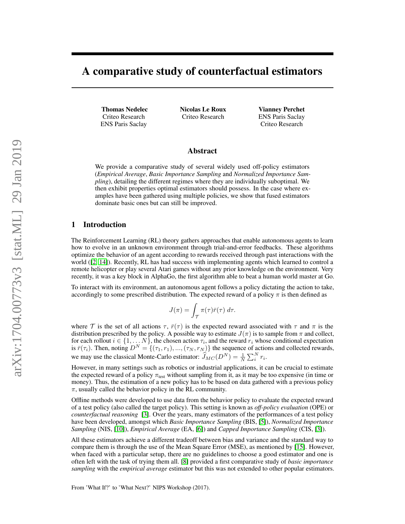# A comparative study of counterfactual estimators

Thomas Nedelec Criteo Research ENS Paris Saclay

Nicolas Le Roux Criteo Research

Vianney Perchet ENS Paris Saclay Criteo Research

# Abstract

We provide a comparative study of several widely used off-policy estimators (*Empirical Average*, *Basic Importance Sampling* and *Normalized Importance Sampling*), detailing the different regimes where they are individually suboptimal. We then exhibit properties optimal estimators should possess. In the case where examples have been gathered using multiple policies, we show that fused estimators dominate basic ones but can still be improved.

### 1 Introduction

The Reinforcement Learning (RL) theory gathers approaches that enable autonomous agents to learn how to evolve in an unknown environment through trial-and-error feedbacks. These algorithms optimize the behavior of an agent according to rewards received through past interactions with the world ([\[2,](#page-8-0) [14\]](#page-8-1)). Recently, RL has had success with implementing agents which learned to control a remote helicopter or play several Atari games without any prior knowledge on the environment. Very recently, it was a key block in AlphaGo, the first algorithm able to beat a human world master at Go.

To interact with its environment, an autonomous agent follows a policy dictating the action to take, accordingly to some prescribed distribution. The expected reward of a policy  $\pi$  is then defined as

$$
J(\pi) = \int_{\mathcal{T}} \pi(\tau) \bar{r}(\tau) \, d\tau.
$$

where T is the set of all actions  $\tau$ ,  $\bar{r}(\tau)$  is the expected reward associated with  $\tau$  and  $\pi$  is the distribution prescribed by the policy. A possible way to estimate  $J(\pi)$  is to sample from  $\pi$  and collect, for each rollout  $i \in \{1, ..., N\}$ , the chosen action  $\tau_i$ , and the reward  $r_i$  whose conditional expectation is  $\bar{r}(\tau_i)$ . Then, noting  $D^N = \{(\tau_1, r_1), ..., (\tau_N, r_N)\}\$  the sequence of actions and collected rewards, we may use the classical Monte-Carlo estimator:  $\widehat{J}_{MC}(D^N) = \frac{1}{N} \sum_{i=1}^{N} r_i$ .

However, in many settings such as robotics or industrial applications, it can be crucial to estimate the expected reward of a policy  $\pi_{\text{test}}$  without sampling from it, as it may be too expensive (in time or money). Thus, the estimation of a new policy has to be based on data gathered with a previous policy  $\pi$ , usually called the behavior policy in the RL community.

Offline methods were developed to use data from the behavior policy to evaluate the expected reward of a test policy (also called the target policy). This setting is known as *off-policy evaluation* (OPE) or *counterfactual reasoning* [\[3\]](#page-8-2). Over the years, many estimators of the performances of a test policy have been developed, amongst which *Basic Importance Sampling* (BIS, [\[5\]](#page-8-3)), *Normalized Importance Sampling* (NIS, [\[10\]](#page-8-4)), *Empirical Average* (EA, [\[6\]](#page-8-5)) and *Capped Importance Sampling* (CIS, [\[3\]](#page-8-2)).

All these estimators achieve a different tradeoff between bias and variance and the standard way to compare them is through the use of the Mean Square Error (MSE), as mentioned by [\[15\]](#page-8-6). However, when faced with a particular setup, there are no guidelines to choose a good estimator and one is often left with the task of trying them all. [\[8\]](#page-8-7) provided a first comparative study of *basic importance sampling* with the *empirical average* estimator but this was not extended to other popular estimators.

From 'What If?' to 'What Next?' NIPS Workshop (2017).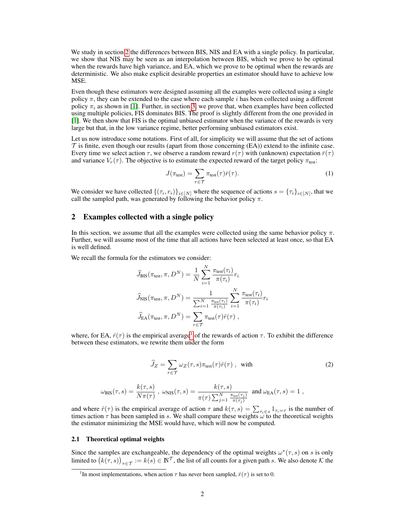We study in section [2](#page-1-0) the differences between BIS, NIS and EA with a single policy. In particular, we show that NIS may be seen as an interpolation between BIS, which we prove to be optimal when the rewards have high variance, and EA, which we prove to be optimal when the rewards are deterministic. We also make explicit desirable properties an estimator should have to achieve low MSE.

Even though these estimators were designed assuming all the examples were collected using a single policy  $\pi$ , they can be extended to the case where each sample i has been collected using a different policy  $\pi_i$  as shown in [\[1\]](#page-8-8). Further, in section [3,](#page-4-0) we prove that, when examples have been collected using multiple policies, FIS dominates BIS. The proof is slightly different from the one provided in [\[1\]](#page-8-8). We then show that FIS is the optimal unbiased estimator when the variance of the rewards is very large but that, in the low variance regime, better performing unbiased estimators exist.

Let us now introduce some notations. First of all, for simplicity we will assume that the set of actions  $\mathcal T$  is finite, even though our results (apart from those concerning (EA)) extend to the infinite case. Every time we select action  $\tau$ , we observe a random reward  $r(\tau)$  with (unknown) expectation  $\bar{r}(\tau)$ and variance  $V_r(\tau)$ . The objective is to estimate the expected reward of the target policy  $\pi_{\text{test}}$ :

$$
J(\pi_{\text{test}}) = \sum_{\tau \in \mathcal{T}} \pi_{\text{test}}(\tau) \bar{r}(\tau). \tag{1}
$$

We consider we have collected  $\{(\tau_i, r_i)\}_{i \in [N]}$  where the sequence of actions  $s = \{\tau_i\}_{i \in [N]}$ , that we call the sampled path, was generated by following the behavior policy  $\pi$ .

# <span id="page-1-0"></span>2 Examples collected with a single policy

In this section, we assume that all the examples were collected using the same behavior policy  $\pi$ . Further, we will assume most of the time that all actions have been selected at least once, so that EA is well defined.

We recall the formula for the estimators we consider:

$$
\widehat{J}_{\text{BIS}}(\pi_{\text{test}}, \pi, D^N) = \frac{1}{N} \sum_{i=1}^N \frac{\pi_{\text{test}}(\tau_i)}{\pi(\tau_i)} r_i
$$

$$
\widehat{J}_{\text{NIS}}(\pi_{\text{test}}, \pi, D^N) = \frac{1}{\sum_{i=1}^N \frac{\pi_{\text{test}}(\tau_i)}{\pi(\tau_i)}} \sum_{i=1}^N \frac{\pi_{\text{test}}(\tau_i)}{\pi(\tau_i)} r_i
$$

$$
\widehat{J}_{\text{EA}}(\pi_{\text{test}}, \pi, D^N) = \sum_{\tau \in \mathcal{T}} \pi_{\text{test}}(\tau) \widehat{r}(\tau),
$$

where, for EA,  $\hat{r}(\tau)$  is the empirical average<sup>[1](#page-1-1)</sup> of the rewards of action  $\tau$ . To exhibit the difference between these estimators, we rewrite them under the form

<span id="page-1-2"></span>
$$
\widehat{J}_Z = \sum_{\tau \in \mathcal{T}} \omega_Z(\tau, s) \pi_{\text{test}}(\tau) \widehat{r}(\tau) , \text{ with } (2)
$$

$$
\omega_{\text{BIS}}(\tau,s) = \frac{k(\tau,s)}{N\pi(\tau)} \ , \ \omega_{\text{NIS}}(\tau,s) = \frac{k(\tau,s)}{\pi(\tau)\sum_{j=1}^N \frac{\pi_{\text{test}}(\tau_j)}{\pi(\tau_j)}} \ \ \text{and} \ \omega_{\text{EA}}(\tau,s) = 1 \ ,
$$

and where  $\hat{r}(\tau)$  is the empirical average of action  $\tau$  and  $k(\tau, s) = \sum_{\tau_i \in s} 1_{\tau_i = \tau}$  is the number of times action  $\tau$  has been sampled in s. We shall compare these weights  $\omega$  to the theoretical weights the estimator minimizing the MSE would have, which will now be computed.

# 2.1 Theoretical optimal weights

Since the samples are exchangeable, the dependency of the optimal weights  $\omega^*(\tau, s)$  on s is only limited to  $(k(\tau, s))_{\tau \in \mathcal{T}} := k(s) \in \mathbb{N}^{\mathcal{T}}$ , the list of all counts for a given path s. We also denote K the

<span id="page-1-1"></span><sup>&</sup>lt;sup>1</sup>In most implementations, when action  $\tau$  has never been sampled,  $\hat{r}(\tau)$  is set to 0.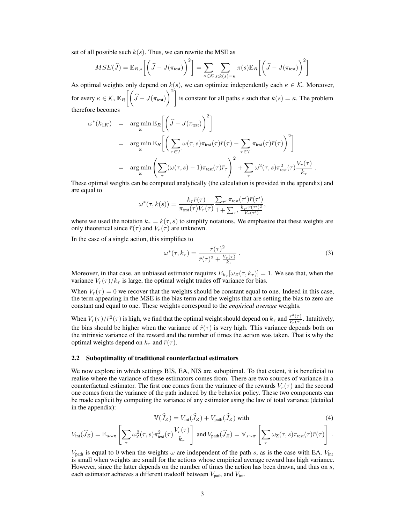set of all possible such  $k(s)$ . Thus, we can rewrite the MSE as

$$
MSE(\widehat{J}) = \mathbb{E}_{R,s} \left[ \left( \widehat{J} - J(\pi_{\text{test}}) \right)^2 \right] = \sum_{\kappa \in \mathcal{K}} \sum_{s:k(s)=\kappa} \pi(s) \mathbb{E}_R \left[ \left( \widehat{J} - J(\pi_{\text{test}}) \right)^2 \right]
$$

As optimal weights only depend on  $k(s)$ , we can optimize independently each  $\kappa \in \mathcal{K}$ . Moreover, for every  $\kappa \in \mathcal{K}$ ,  $\mathbb{E}_R \left[ \left( \widehat{J} - J(\pi_{\text{test}}) \right)^2 \right]$  is constant for all paths s such that  $k(s) = \kappa$ . The problem therefore becomes

$$
\omega^*(k_{1K}) = \underset{\omega}{\arg\min} \mathbb{E}_R \bigg[ \bigg( \hat{J} - J(\pi_{\text{test}}) \bigg)^2 \bigg]
$$
  
\n
$$
= \underset{\omega}{\arg\min} \mathbb{E}_R \bigg[ \bigg( \sum_{\tau \in \mathcal{T}} \omega(\tau, s) \pi_{\text{test}}(\tau) \hat{r}(\tau) - \sum_{\tau \in \mathcal{T}} \pi_{\text{test}}(\tau) \bar{r}(\tau) \bigg)^2 \bigg]
$$
  
\n
$$
= \underset{\omega}{\arg\min} \bigg( \sum_{\tau} (\omega(\tau, s) - 1) \pi_{\text{test}}(\tau) \bar{r}_{\tau} \bigg)^2 + \sum_{\tau} \omega^2(\tau, s) \pi_{\text{test}}^2(\tau) \frac{V_r(\tau)}{k_{\tau}}.
$$

These optimal weights can be computed analytically (the calculation is provided in the appendix) and are equal to

$$
\omega^*(\tau, k(s)) = \frac{k_\tau \bar{r}(\tau)}{\pi_{\text{test}}(\tau) V_r(\tau)} \frac{\sum_{\tau'} \pi_{\text{test}}(\tau') \bar{r}(\tau')}{1 + \sum_{\tau'} \frac{k_{\tau'} \bar{r}(\tau')^2}{V_r(\tau')}},
$$

where we used the notation  $k<sub>\tau</sub> = k(\tau, s)$  to simplify notations. We emphasize that these weights are only theoretical since  $\bar{r}(\tau)$  and  $V_r(\tau)$  are unknown.

In the case of a single action, this simplifies to

<span id="page-2-0"></span>
$$
\omega^*(\tau, k_\tau) = \frac{\bar{r}(\tau)^2}{\bar{r}(\tau)^2 + \frac{V_r(\tau)}{k_\tau}}.
$$
\n(3)

Moreover, in that case, an unbiased estimator requires  $E_{k_{\tau}}[\omega_Z(\tau, k_{\tau})] = 1$ . We see that, when the variance  $V_r(\tau)/k_\tau$  is large, the optimal weight trades off variance for bias.

When  $V_r(\tau) = 0$  we recover that the weights should be constant equal to one. Indeed in this case, the term appearing in the MSE is the bias term and the weights that are setting the bias to zero are constant and equal to one. These weights correspond to the *empirical average* weights.

When  $V_r(\tau)/\bar{r}^2(\tau)$  is high, we find that the optimal weight should depend on  $k_{\tau}$  and  $\frac{\bar{r}^2(\tau)}{V_r(\tau)}$  $\frac{r(\tau)}{V_r(\tau)}$ . Intuitively, the bias should be higher when the variance of  $\hat{r}(\tau)$  is very high. This variance depends both on the intrinsic variance of the reward and the number of times the action was taken. That is why the optimal weights depend on  $k_\tau$  and  $\bar{r}(\tau)$ .

#### 2.2 Suboptimality of traditional counterfactual estimators

We now explore in which settings BIS, EA, NIS are suboptimal. To that extent, it is beneficial to realise where the variance of these estimators comes from. There are two sources of variance in a counterfactual estimator. The first one comes from the variance of the rewards  $V_r(\tau)$  and the second one comes from the variance of the path induced by the behavior policy. These two components can be made explicit by computing the variance of any estimator using the law of total variance (detailed in the appendix):

$$
\mathbb{V}(\hat{J}_Z) = V_{\text{int}}(\hat{J}_Z) + V_{\text{path}}(\hat{J}_Z) \text{ with}
$$
\n(4)

$$
V_{\rm int}(\widehat{J}_Z) = \mathbb{E}_{s \sim \pi} \left[ \sum_{\tau} \omega_Z^2(\tau, s) \pi_{\rm test}^2(\tau) \frac{V_r(\tau)}{k_\tau} \right] \text{ and } V_{\rm path}(\widehat{J}_Z) = \mathbb{V}_{s \sim \pi} \left[ \sum_{\tau} \omega_Z(\tau, s) \pi_{\rm test}(\tau) \bar{r}(\tau) \right] .
$$

 $V_{\text{path}}$  is equal to 0 when the weights  $\omega$  are independent of the path s, as is the case with EA.  $V_{\text{int}}$ is small when weights are small for the actions whose empirical average reward has high variance. However, since the latter depends on the number of times the action has been drawn, and thus on s, each estimator achieves a different tradeoff between  $V_{\text{path}}$  and  $V_{\text{int}}$ .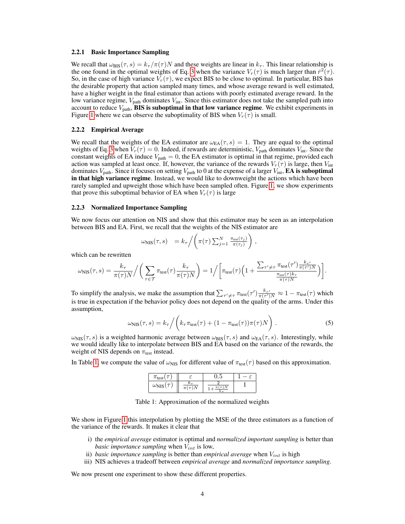#### 2.2.1 Basic Importance Sampling

We recall that  $\omega_{\text{BIS}}(\tau, s) = k_{\tau}/\pi(\tau)N$  and these weights are linear in  $k_{\tau}$ . This linear relationship is the one found in the optimal weights of Eq. [3](#page-2-0) when the variance  $V_r(\tau)$  is much larger than  $\bar{r}^2(\tau)$ . So, in the case of high variance  $V_r(\tau)$ , we expect BIS to be close to optimal. In particular, BIS has the desirable property that action sampled many times, and whose average reward is well estimated, have a higher weight in the final estimator than actions with poorly estimated average reward. In the low variance regime,  $V_{\text{path}}$  dominates  $V_{\text{int}}$ . Since this estimator does not take the sampled path into account to reduce  $V_{\text{path}}$ , BIS is suboptimal in that low variance regime. We exhibit experiments in Figure [1](#page-4-1) where we can observe the suboptimality of BIS when  $V_r(\tau)$  is small.

### 2.2.2 Empirical Average

We recall that the weights of the EA estimator are  $\omega_{EA}(\tau, s) = 1$ . They are equal to the optimal weights of Eq. [3](#page-2-0) when  $V_r(\tau) = 0$ . Indeed, if rewards are deterministic,  $V_{\text{path}}$  dominates  $V_{\text{int}}$ . Since the constant weights of EA induce  $V_{\text{path}} = 0$ , the EA estimator is optimal in that regime, provided each action was sampled at least once. If, however, the variance of the rewards  $V_r(\tau)$  is large, then  $V_{\text{int}}$ dominates  $V_{\text{path}}$ . Since it focuses on setting  $V_{\text{path}}$  to 0 at the expense of a larger  $V_{\text{int}}$ , **EA is suboptimal** in that high variance regime. Instead, we would like to downweight the actions which have been rarely sampled and upweight those which have been sampled often. Figure [1,](#page-4-1) we show experiments that prove this suboptimal behavior of EA when  $V_r(\tau)$  is large

#### 2.2.3 Normalized Importance Sampling

We now focus our attention on NIS and show that this estimator may be seen as an interpolation between BIS and EA. First, we recall that the weights of the NIS estimator are

$$
\omega_{\text{NIS}}(\tau, s) = k_{\tau} / \left( \pi(\tau) \sum_{j=1}^{N} \frac{\pi_{\text{test}}(\tau_j)}{\pi(\tau_j)} \right),
$$

which can be rewritten

$$
\omega_{\text{NIS}}(\tau,s) = \frac{k_{\tau}}{\pi(\tau)N} \Big/ \bigg( \sum_{\tau \in \mathcal{T}} \pi_{\text{test}}(\tau) \frac{k_{\tau}}{\pi(\tau)N} \bigg) = 1 \Big/ \bigg[ \pi_{\text{test}}(\tau) \Big( 1 + \frac{\sum_{\tau' \neq \tau} \pi_{\text{test}}(\tau') \frac{k_{\tau'}}{\pi(\tau')N}}{\frac{\pi_{\text{test}}(\tau)k_{\tau}}{\pi(\tau)N}} \Big) \bigg].
$$

To simplify the analysis, we make the assumption that  $\sum_{\tau' \neq \tau} \pi_{\text{test}}(\tau') \frac{k_{\tau'}}{\pi(\tau')} \approx 1 - \pi_{\text{test}}(\tau)$  which is true in expectation if the behavior policy does not depend on the quality of the arms. Under this assumption,

$$
\omega_{\rm NIS}(\tau,s) = k_{\tau} / \left( k_{\tau} \pi_{\rm test}(\tau) + (1 - \pi_{\rm test}(\tau)) \pi(\tau) N \right). \tag{5}
$$

 $\omega_{\text{NIS}}(\tau, s)$  is a weighted harmonic average between  $\omega_{\text{BIS}}(\tau, s)$  and  $\omega_{\text{EA}}(\tau, s)$ . Interestingly, while we would ideally like to interpolate between BIS and EA based on the variance of the rewards, the weight of NIS depends on  $\pi_{\text{test}}$  instead.

In Table [1,](#page-3-0) we compute the value of  $\omega_{NIS}$  for different value of  $\pi_{test}(\tau)$  based on this approximation.

| $\pi_{\text{test}}$ |                         | ◡◦◡          |  |  |
|---------------------|-------------------------|--------------|--|--|
| $\omega_{\rm NIS}$  | n.<br>١N<br>$\pi(\tau)$ | $\kappa$ $-$ |  |  |

<span id="page-3-0"></span>Table 1: Approximation of the normalized weights

We show in Figure [1](#page-4-1) this interpolation by plotting the MSE of the three estimators as a function of the variance of the rewards. It makes it clear that

- i) the *empirical average* estimator is optimal and *normalized important sampling* is better than *basic importance sampling* when  $V_{int}$  is low,
- ii) *basic importance sampling* is better than *empirical average* when  $V_{int}$  is high
- iii) NIS achieves a tradeoff between *empirical average* and *normalized importance sampling*.

We now present one experiment to show these different properties.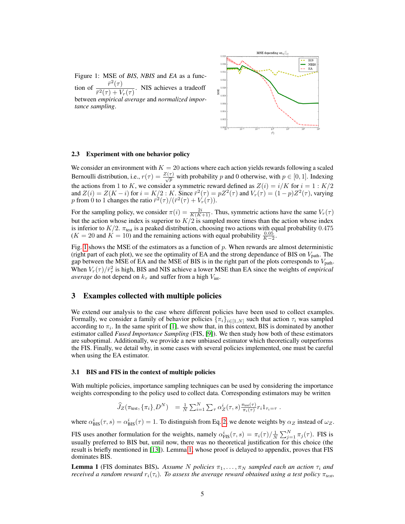

<span id="page-4-1"></span>Figure 1: MSE of *BIS*, *NBIS* and *EA* as a function of  $\frac{\bar{r}^2(\tau)}{\tau^2(\tau)+1}$  $\frac{r^{2}}{r^{2}(\tau)+V_{r}(\tau)}$ . NIS achieves a tradeoff between *empirical average* and *normalized importance sampling*.

### 2.3 Experiment with one behavior policy

We consider an environment with  $K = 20$  actions where each action yields rewards following a scaled Bernoulli distribution, i.e.,  $r(\tau) = \frac{Z(\tau)}{\sqrt{p}}$  with probability p and 0 otherwise, with  $p \in [0, 1]$ . Indexing the actions from 1 to K, we consider a symmetric reward defined as  $Z(i) = i/K$  for  $i = 1 : K/2$ and  $Z(i) = Z(K - i)$  for  $i = K/2 : K$ . Since  $\bar{r}^2(\tau) = pZ^2(\tau)$  and  $V_r(\tau) = (1 - p)Z^2(\tau)$ , varying p from 0 to 1 changes the ratio  $\bar{r}^2(\tau)/(\bar{r}^2(\tau) + V_r(\tau))$ .

For the sampling policy, we consider  $\pi(i) = \frac{2i}{K(K+1)}$ . Thus, symmetric actions have the same  $V_r(\tau)$ but the action whose index is superior to  $K/2$  is sampled more times than the action whose index is inferior to  $K/2$ .  $\pi_{\text{test}}$  is a peaked distribution, choosing two actions with equal probability 0.475  $(K = 20 \text{ and } K = 10)$  and the remaining actions with equal probability  $\frac{0.05}{K-2}$ .

Fig. [1](#page-4-1) shows the MSE of the estimators as a function of  $p$ . When rewards are almost deterministic (right part of each plot), we see the optimality of EA and the strong dependance of BIS on  $V_{\text{path}}$ . The gap between the MSE of EA and the MSE of BIS is in the right part of the plots corresponds to  $V_{\text{path}}$ . When  $V_r(\tau)/\bar{r}_\tau^2$  is high, BIS and NIS achieve a lower MSE than EA since the weights of *empirical average* do not depend on  $k<sub>\tau</sub>$  and suffer from a high  $V_{\text{int}}$ .

## <span id="page-4-0"></span>3 Examples collected with multiple policies

We extend our analysis to the case where different policies have been used to collect examples. Formally, we consider a family of behavior policies  $\{\pi_i\}_{i\in[1,N]}$  such that action  $\tau_i$  was sampled according to  $\pi_i$ . In the same spirit of [\[1\]](#page-8-8), we show that, in this context, BIS is dominated by another estimator called *Fused Importance Sampling* (FIS, [\[9\]](#page-8-9)). We then study how both of these estimators are suboptimal. Additionally, we provide a new unbiased estimator which theoretically outperforms the FIS. Finally, we detail why, in some cases with several policies implemented, one must be careful when using the EA estimator.

#### 3.1 BIS and FIS in the context of multiple policies

With multiple policies, importance sampling techniques can be used by considering the importance weights corresponding to the policy used to collect data. Corresponding estimators may be written

$$
\widehat{J}_Z(\pi_{\text{test}}, \{\pi_i\}, D^N) = \frac{1}{N} \sum_{i=1}^N \sum_{\tau} \alpha_Z^i(\tau, s) \frac{\pi_{\text{test}}(\tau)}{\pi_i(\tau)} r_i 1_{\tau_i = \tau}.
$$

where  $\alpha_{\rm BIS}^i(\tau, s) = \alpha_{\rm BIS}^i(\tau) = 1$ . To distinguish from Eq. [2,](#page-1-2) we denote weights by  $\alpha_Z$  instead of  $\omega_Z$ .

FIS uses another formulation for the weights, namely  $\alpha_{\text{FIS}}^i(\tau, s) = \pi_i(\tau) / \frac{1}{N} \sum_{j=1}^N \pi_j(\tau)$ . FIS is usually preferred to BIS but, until now, there was no theoretical justification for this choice (the result is briefly mentioned in [\[13\]](#page-8-10)). Lemma [1,](#page-4-2) whose proof is delayed to appendix, proves that FIS dominates BIS.

<span id="page-4-2"></span>**Lemma 1** (FIS dominates BIS). Assume N policies  $\pi_1, \ldots, \pi_N$  sampled each an action  $\tau_i$  and *received a random reward*  $r_i(\tau_i)$ *. To assess the average reward obtained using a test policy*  $\pi_{test}$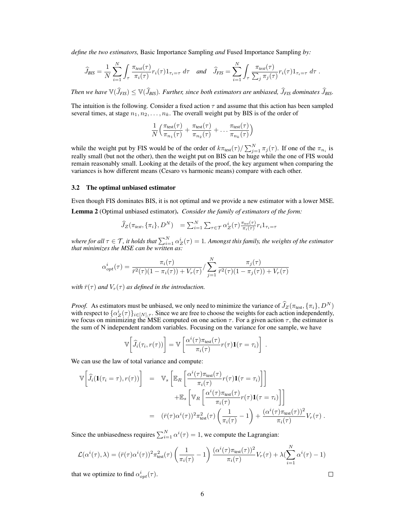*define the two estimators,* Basic Importance Sampling *and* Fused Importance Sampling *by:*

$$
\widehat{J}_{BIS} = \frac{1}{N} \sum_{i=1}^{N} \int_{\tau} \frac{\pi_{test}(\tau)}{\pi_i(\tau)} r_i(\tau) 1_{\tau_i = \tau} d\tau \quad and \quad \widehat{J}_{FIS} = \sum_{i=1}^{N} \int_{\tau} \frac{\pi_{test}(\tau)}{\sum_{j} \pi_j(\tau)} r_i(\tau) 1_{\tau_i = \tau} d\tau.
$$

*Then we have*  $\mathbb{V}(\widehat{J}_{FIS}) \leq \mathbb{V}(\widehat{J}_{BIS})$ *. Further, since both estimators are unbiased,*  $\widehat{J}_{FIS}$  *dominates*  $\widehat{J}_{BIS}$ *.* 

The intuition is the following. Consider a fixed action  $\tau$  and assume that this action has been sampled several times, at stage  $n_1, n_2, \ldots, n_k$ . The overall weight put by BIS is of the order of

$$
\frac{1}{N} \left( \frac{\pi_{\text{test}}(\tau)}{\pi_{n_1}(\tau)} + \frac{\pi_{\text{test}}(\tau)}{\pi_{n_2}(\tau)} + \dots + \frac{\pi_{\text{test}}(\tau)}{\pi_{n_k}(\tau)} \right)
$$

while the weight put by FIS would be of the order of  $k\pi_{\text{test}}(\tau)/\sum_{j=1}^{N} \pi_j(\tau)$ . If one of the  $\pi_{n_i}$  is really small (but not the other), then the weight put on BIS can be huge while the one of FIS would remain reasonably small. Looking at the details of the proof, the key argument when comparing the variances is how different means (Cesaro vs harmonic means) compare with each other.

#### 3.2 The optimal unbiased estimator

Even though FIS dominates BIS, it is not optimal and we provide a new estimator with a lower MSE. Lemma 2 (Optimal unbiased estimator). *Consider the family of estimators of the form:*

$$
\widehat{J}_Z(\pi_{test}, \{\pi_i\}, D^N) = \sum_{i=1}^N \sum_{\tau \in \mathcal{T}} \alpha_Z^i(\tau) \frac{\pi_{test}(\tau)}{\pi_i(\tau)} r_i 1_{\tau_i = \tau}
$$

where for all  $\tau \in \mathcal{T}$ , it holds that  $\sum_{i=1}^N \alpha_Z^i(\tau)=1$ . Amongst this family, the weights of the estimator *that minimizes the MSE can be written as:*

$$
\alpha_{opt}^i(\tau) = \frac{\pi_i(\tau)}{\bar{r}^2(\tau)(1 - \pi_i(\tau)) + V_r(\tau)} / \sum_{j=1}^N \frac{\pi_j(\tau)}{\bar{r}^2(\tau)(1 - \pi_j(\tau)) + V_r(\tau)}
$$

*with*  $\bar{r}(\tau)$  *and*  $V_r(\tau)$  *as defined in the introduction.* 

*Proof.* As estimators must be unbiased, we only need to minimize the variance of  $\hat{J}_Z(\pi_{\text{test}}, {\{\pi_i\}}, D^N)$ with respect to  $\{\alpha_Z^i(\tau)\}_{i\in[N],\tau}$ . Since we are free to choose the weights for each action independently, we focus on minimizing the MSE computed on one action  $\tau$ . For a given action  $\tau$ , the estimator is the sum of N independent random variables. Focusing on the variance for one sample, we have

$$
\mathbb{V}\bigg[\widehat{J}_i(\tau_i,r(\tau))\bigg] = \mathbb{V}\left[\frac{\alpha^i(\tau)\pi_{\text{test}}(\tau)}{\pi_i(\tau)}r(\tau)\mathbf{1}(\tau=\tau_i)\right].
$$

We can use the law of total variance and compute:

$$
\mathbb{V}\left[\hat{J}_i(\mathbf{1}(\tau_i=\tau), r(\tau))\right] = \mathbb{V}_s\left[\mathbb{E}_R\left[\frac{\alpha^i(\tau)\pi_{\text{test}}(\tau)}{\pi_i(\tau)}r(\tau)\mathbf{1}(\tau=\tau_i)\right]\right] \n+ \mathbb{E}_s\left[\mathbb{V}_R\left[\frac{\alpha^i(\tau)\pi_{\text{test}}(\tau)}{\pi_i(\tau)}r(\tau)\mathbf{1}(\tau=\tau_i)\right]\right] \n= (\bar{r}(\tau)\alpha^i(\tau))^2\pi_{\text{test}}^2(\tau)\left(\frac{1}{\pi_i(\tau)}-1\right) + \frac{(\alpha^i(\tau)\pi_{\text{test}}(\tau))^2}{\pi_i(\tau)}V_r(\tau).
$$

Since the unbiasedness requires  $\sum_{i=1}^{N} \alpha^{i}(\tau) = 1$ , we compute the Lagrangian:

$$
\mathcal{L}(\alpha^{i}(\tau),\lambda) = (\bar{r}(\tau)\alpha^{i}(\tau))^{2} \pi_{\text{test}}^{2}(\tau) \left(\frac{1}{\pi_{i}(\tau)} - 1\right) \frac{(\alpha^{i}(\tau)\pi_{\text{test}}(\tau))^{2}}{\pi_{i}(\tau)} V_{r}(\tau) + \lambda (\sum_{i=1}^{N} \alpha^{i}(\tau) - 1)
$$

6

that we optimize to find  $\alpha_{opt}^i(\tau)$ .

 $\Box$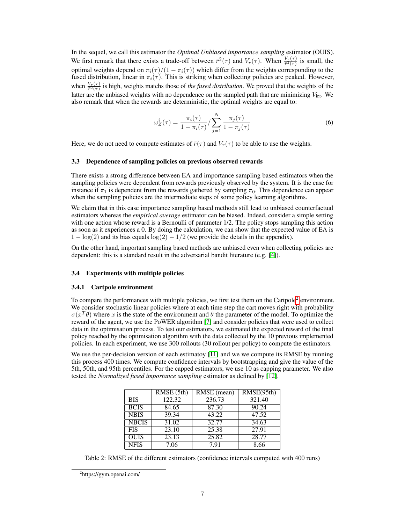In the sequel, we call this estimator the *Optimal Unbiased importance sampling* estimator (OUIS). We first remark that there exists a trade-off between  $\bar{r}^2(\tau)$  and  $V_r(\tau)$ . When  $\frac{V_r(\tau)}{\bar{r}^2(\tau)}$  is small, the optimal weights depend on  $\pi_i(\tau)/(1 - \pi_i(\tau))$  which differ from the weights corresponding to the fused distribution, linear in  $\pi_i(\tau)$ . This is striking when collecting policies are peaked. However, when  $\frac{V_r(\tau)}{\bar{r}^2(\tau)}$  is high, weights matchs those of *the fused distribution*. We proved that the weights of the latter are the unbiased weights with no dependence on the sampled path that are minimizing  $V_{\text{int}}$ . We also remark that when the rewards are deterministic, the optimal weights are equal to:

$$
\omega_Z^i(\tau) = \frac{\pi_i(\tau)}{1 - \pi_i(\tau)} / \sum_{j=1}^N \frac{\pi_j(\tau)}{1 - \pi_j(\tau)}
$$
(6)

Here, we do not need to compute estimates of  $\bar{r}(\tau)$  and  $V_r(\tau)$  to be able to use the weights.

#### 3.3 Dependence of sampling policies on previous observed rewards

There exists a strong difference between EA and importance sampling based estimators when the sampling policies were dependent from rewards previously observed by the system. It is the case for instance if  $\pi_1$  is dependent from the rewards gathered by sampling  $\pi_0$ . This dependence can appear when the sampling policies are the intermediate steps of some policy learning algorithms.

We claim that in this case importance sampling based methods still lead to unbiased counterfactual estimators whereas the *empirical average* estimator can be biased. Indeed, consider a simple setting with one action whose reward is a Bernoulli of parameter  $1/2$ . The policy stops sampling this action as soon as it experiences a 0. By doing the calculation, we can show that the expected value of EA is  $1 - \log(2)$  and its bias equals  $\log(2) - 1/2$  (we provide the details in the appendix).

On the other hand, important sampling based methods are unbiased even when collecting policies are dependent: this is a standard result in the adversarial bandit literature (e.g. [\[4\]](#page-8-11)).

#### 3.4 Experiments with multiple policies

#### 3.4.1 Cartpole environment

To compare the performances with multiple policies, we first test them on the Cartpole<sup>[2](#page-6-0)</sup> environment. We consider stochastic linear policies where at each time step the cart moves right with probability  $\sigma(x^T\theta)$  where x is the state of the environment and  $\theta$  the parameter of the model. To optimize the reward of the agent, we use the PoWER algorithm [\[7\]](#page-8-12) and consider policies that were used to collect data in the optimisation process. To test our estimators, we estimated the expected reward of the final policy reached by the optimisation algorithm with the data collected by the 10 previous implemented policies. In each experiment, we use 300 rollouts (30 rollout per policy) to compute the estimators.

We use the per-decision version of each estimator [\[11\]](#page-8-13) and we we compute its RMSE by running this process 400 times. We compute confidence intervals by bootstrapping and give the value of the 5th, 50th, and 95th percentiles. For the capped estimators, we use 10 as capping parameter. We also tested the *Normalized fused importance sampling* estimator as defined by [\[12\]](#page-8-14).

|              | RMSE(5th) | $\overline{\text{RMSE}}$ (mean) | RMSE(95th) |
|--------------|-----------|---------------------------------|------------|
| <b>BIS</b>   | 122.32    | 236.73                          | 321.40     |
| <b>BCIS</b>  | 84.65     | 87.30                           | 90.24      |
| <b>NBIS</b>  | 39.34     | 43.22                           | 47.52      |
| <b>NBCIS</b> | 31.02     | 32.77                           | 34.63      |
| <b>FIS</b>   | 23.10     | 25.38                           | 27.91      |
| <b>OUIS</b>  | 23.13     | 25.82                           | 28.77      |
| <b>NFIS</b>  | 7.06      | 7.91                            | 8.66       |

Table 2: RMSE of the different estimators (confidence intervals computed with 400 runs)

<span id="page-6-0"></span><sup>&</sup>lt;sup>2</sup>https://gym.openai.com/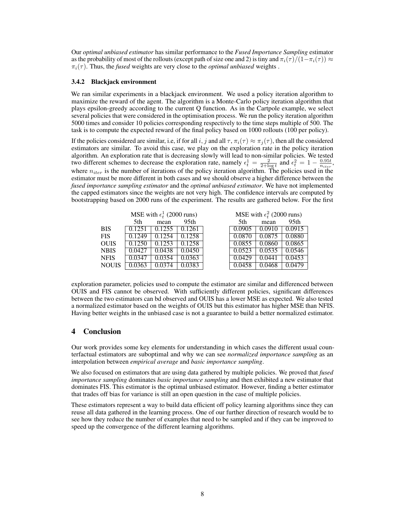Our *optimal unbiased estimator* has similar performance to the *Fused Importance Sampling* estimator as the probability of most of the rollouts (except path of size one and 2) is tiny and  $\pi_i(\tau)/(1-\pi_i(\tau)) \approx$  $\pi_i(\tau)$ . Thus, the *fused* weights are very close to the *optimal unbiased* weights.

### 3.4.2 Blackjack environment

We ran similar experiments in a blackjack environment. We used a policy iteration algorithm to maximize the reward of the agent. The algorithm is a Monte-Carlo policy iteration algorithm that plays epsilon-greedy according to the current Q function. As in the Cartpole example, we select several policies that were considered in the optimisation process. We run the policy iteration algorithm 5000 times and consider 10 policies corresponding respectively to the time steps multiple of 500. The task is to compute the expected reward of the final policy based on 1000 rollouts (100 per policy).

If the policies considered are similar, i.e, if for all i, j and all  $\tau$ ,  $\pi_i(\tau) \approx \pi_i(\tau)$ , then all the considered estimators are similar. To avoid this case, we play on the exploration rate in the policy iteration algorithm. An exploration rate that is decreasing slowly will lead to non-similar policies. We tested two different schemes to decrease the exploration rate, namely  $\epsilon_t^1 = \frac{2}{2 + \log t}$  and  $\epsilon_t^2 = 1 - \frac{0.95t}{n_{iter}}$ , where  $n_{iter}$  is the number of iterations of the policy iteration algorithm. The policies used in the estimator must be more different in both cases and we should observe a higher difference between the *fused importance sampling estimator* and the *optimal unbiased estimator*. We have not implemented the capped estimators since the weights are not very high. The confidence intervals are computed by bootstrapping based on 2000 runs of the experiment. The results are gathered below. For the first

|              | MSE with $\epsilon_t^1$ (2000 runs) |        | MSE with $\epsilon_t^2$ (2000 runs) |        |        |                  |
|--------------|-------------------------------------|--------|-------------------------------------|--------|--------|------------------|
|              | 5th                                 | mean   | 95 <sub>th</sub>                    | 5th    | mean   | 95 <sub>th</sub> |
| <b>BIS</b>   | $\overline{0.125}$                  | 0.1255 | 0.1261                              | 0.0905 | 0.0910 | 0.0915           |
| <b>FIS</b>   | 0.1249                              | 0.1254 | 0.1258                              | 0.0870 | 0.0875 | 0.0880           |
| <b>OUIS</b>  | 0.1250                              | 0.1253 | 0.1258                              | 0.0855 | 0.0860 | 0.0865           |
| <b>NBIS</b>  | 0.0427                              | 0.0438 | 0.0450                              | 0.0523 | 0.0535 | 0.0546           |
| <b>NFIS</b>  | 0.0347                              | 0.0354 | 0.0363                              | 0.0429 | 0.0441 | 0.0453           |
| <b>NOUIS</b> | 0.0363                              |        |                                     | 0.0458 | 0.0468 | 1479             |

exploration parameter, policies used to compute the estimator are similar and differenced between OUIS and FIS cannot be observed. With sufficiently different policies, significant differences between the two estimators can bd observed and OUIS has a lower MSE as expected. We also tested a normalized estimator based on the weights of OUIS but this estimator has higher MSE than NFIS. Having better weights in the unbiased case is not a guarantee to build a better normalized estimator.

# 4 Conclusion

Our work provides some key elements for understanding in which cases the different usual counterfactual estimators are suboptimal and why we can see *normalized importance sampling* as an interpolation between *empirical average* and *basic importance sampling*.

We also focused on estimators that are using data gathered by multiple policies. We proved that *fused importance sampling* dominates *basic importance sampling* and then exhibited a new estimator that dominates FIS. This estimator is the optimal unbiased estimator. However, finding a better estimator that trades off bias for variance is still an open question in the case of multiple policies.

These estimators represent a way to build data efficient off policy learning algorithms since they can reuse all data gathered in the learning process. One of our further direction of research would be to see how they reduce the number of examples that need to be sampled and if they can be improved to speed up the convergence of the different learning algorithms.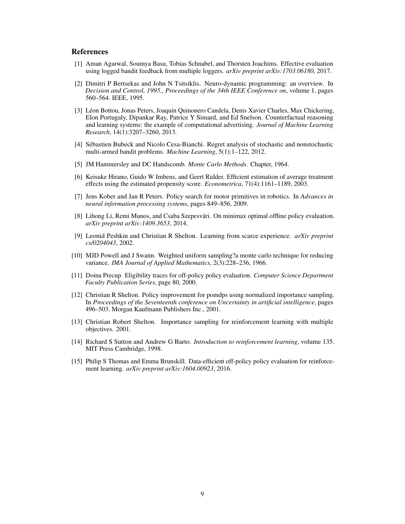# References

- <span id="page-8-8"></span>[1] Aman Agarwal, Soumya Basu, Tobias Schnabel, and Thorsten Joachims. Effective evaluation using logged bandit feedback from multiple loggers. *arXiv preprint arXiv:1703.06180*, 2017.
- <span id="page-8-0"></span>[2] Dimitri P Bertsekas and John N Tsitsiklis. Neuro-dynamic programming: an overview. In *Decision and Control, 1995., Proceedings of the 34th IEEE Conference on*, volume 1, pages 560–564. IEEE, 1995.
- <span id="page-8-2"></span>[3] Léon Bottou, Jonas Peters, Joaquin Quinonero Candela, Denis Xavier Charles, Max Chickering, Elon Portugaly, Dipankar Ray, Patrice Y Simard, and Ed Snelson. Counterfactual reasoning and learning systems: the example of computational advertising. *Journal of Machine Learning Research*, 14(1):3207–3260, 2013.
- <span id="page-8-11"></span>[4] Sébastien Bubeck and Nicolo Cesa-Bianchi. Regret analysis of stochastic and nonstochastic multi-armed bandit problems. *Machine Learning*, 5(1):1–122, 2012.
- <span id="page-8-3"></span>[5] JM Hammersley and DC Handscomb. *Monte Carlo Methods*. Chapter, 1964.
- <span id="page-8-5"></span>[6] Keisuke Hirano, Guido W Imbens, and Geert Ridder. Efficient estimation of average treatment effects using the estimated propensity score. *Econometrica*, 71(4):1161–1189, 2003.
- <span id="page-8-12"></span>[7] Jens Kober and Jan R Peters. Policy search for motor primitives in robotics. In *Advances in neural information processing systems*, pages 849–856, 2009.
- <span id="page-8-7"></span>[8] Lihong Li, Remi Munos, and Csaba Szepesvári. On minimax optimal offline policy evaluation. *arXiv preprint arXiv:1409.3653*, 2014.
- <span id="page-8-9"></span>[9] Leonid Peshkin and Christian R Shelton. Learning from scarce experience. *arXiv preprint cs/0204043*, 2002.
- <span id="page-8-4"></span>[10] MJD Powell and J Swann. Weighted uniform sampling?a monte carlo technique for reducing variance. *IMA Journal of Applied Mathematics*, 2(3):228–236, 1966.
- <span id="page-8-13"></span>[11] Doina Precup. Eligibility traces for off-policy policy evaluation. *Computer Science Department Faculty Publication Series*, page 80, 2000.
- <span id="page-8-14"></span>[12] Christian R Shelton. Policy improvement for pomdps using normalized importance sampling. In *Proceedings of the Seventeenth conference on Uncertainty in artificial intelligence*, pages 496–503. Morgan Kaufmann Publishers Inc., 2001.
- <span id="page-8-10"></span>[13] Christian Robert Shelton. Importance sampling for reinforcement learning with multiple objectives. 2001.
- <span id="page-8-1"></span>[14] Richard S Sutton and Andrew G Barto. *Introduction to reinforcement learning*, volume 135. MIT Press Cambridge, 1998.
- <span id="page-8-6"></span>[15] Philip S Thomas and Emma Brunskill. Data-efficient off-policy policy evaluation for reinforcement learning. *arXiv preprint arXiv:1604.00923*, 2016.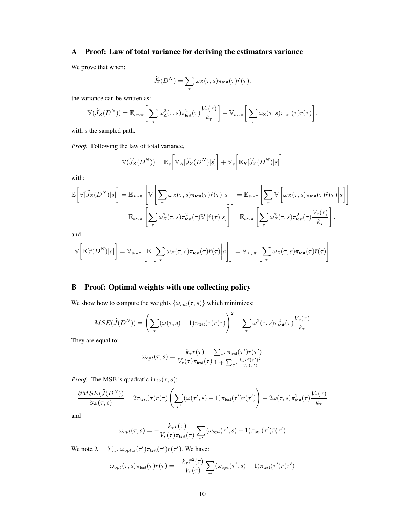# A Proof: Law of total variance for deriving the estimators variance

We prove that when:

$$
\widehat{J}_{Z}(D^{N}) = \sum_{\tau} \omega_{Z}(\tau, s) \pi_{\text{test}}(\tau) \widehat{r}(\tau).
$$

the variance can be written as:

$$
\mathbb{V}(\widehat{J}_Z(D^N)) = \mathbb{E}_{s \sim \pi} \bigg[ \sum_{\tau} \omega_Z^2(\tau, s) \pi_{\text{test}}^2(\tau) \frac{V_r(\tau)}{k_\tau} \bigg] + \mathbb{V}_{s \sim \pi} \bigg[ \sum_{\tau} \omega_Z(\tau, s) \pi_{\text{test}}(\tau) \bar{r}(\tau) \bigg].
$$

with  $s$  the sampled path.

*Proof.* Following the law of total variance,

$$
\mathbb{V}(\widehat{J}_Z(D^N)) = \mathbb{E}_s \bigg[ \mathbb{V}_R[\widehat{J}_Z(D^N)|s] \bigg] + \mathbb{V}_s \bigg[ \mathbb{E}_R[\widehat{J}_Z(D^N)|s] \bigg]
$$

with:

$$
\mathbb{E}\bigg[\mathbb{V}[\widehat{J}_{Z}(D^{N})|s]\bigg] = \mathbb{E}_{s \sim \pi} \left[\mathbb{V}\left[\sum_{\tau} \omega_{Z}(\tau,s)\pi_{\text{test}}(\tau)\widehat{r}(\tau)\bigg|s\right]\right] = \mathbb{E}_{s \sim \pi} \left[\sum_{\tau} \mathbb{V}\left[\omega_{Z}(\tau,s)\pi_{\text{test}}(\tau)\widehat{r}(\tau)\bigg|s\right]\right]
$$

$$
= \mathbb{E}_{s \sim \pi} \left[\sum_{\tau} \omega_{Z}^{2}(\tau,s)\pi_{\text{test}}^{2}(\tau)\mathbb{V}\left[\widehat{r}(\tau)|s\right]\right] = \mathbb{E}_{s \sim \pi} \left[\sum_{\tau} \omega_{Z}^{2}(\tau,s)\pi_{\text{test}}^{2}(\tau)\frac{V_{r}(\tau)}{k_{\tau}}\right].
$$

and

$$
\mathbb{V}\bigg[\mathbb{E}[\hat{r}(D^N)|s]\bigg] = \mathbb{V}_{s \sim \pi} \left[\mathbb{E}\left[\sum_{\tau} \omega_Z(\tau,s)\pi_{\text{test}}(\tau)\hat{r}(\tau)\bigg|s\right]\right] = \mathbb{V}_{s \sim \pi} \left[\sum_{\tau} \omega_Z(\tau,s)\pi_{\text{test}}(\tau)\bar{r}(\tau)\right]
$$

# B Proof: Optimal weights with one collecting policy

We show how to compute the weights  $\{\omega_{opt}(\tau,s)\}$  which minimizes:

$$
MSE(\widehat{J}(D^N)) = \left(\sum_{\tau} (\omega(\tau, s) - 1)\pi_{\text{test}}(\tau)\bar{r}(\tau)\right)^2 + \sum_{\tau} \omega^2(\tau, s)\pi_{\text{test}}^2(\tau)\frac{V_r(\tau)}{k_\tau}
$$

They are equal to:

$$
\omega_{opt}(\tau,s) = \frac{k_{\tau}\bar{r}(\tau)}{V_r(\tau)\pi_{\text{test}}(\tau)} \frac{\sum_{\tau'} \pi_{\text{test}}(\tau')\bar{r}(\tau')}{1 + \sum_{\tau'} \frac{k_{\tau'}\bar{r}(\tau')^2}{V_r(\tau')}}
$$

*Proof.* The MSE is quadratic in  $\omega(\tau, s)$ :

$$
\frac{\partial MSE(\widehat{J}(D^N))}{\partial \omega(\tau,s)} = 2\pi_{\text{test}}(\tau)\bar{r}(\tau)\left(\sum_{\tau'}(\omega(\tau',s)-1)\pi_{\text{test}}(\tau')\bar{r}(\tau')\right) + 2\omega(\tau,s)\pi_{\text{test}}^2(\tau)\frac{V_r(\tau)}{k_\tau}
$$

and

$$
\omega_{opt}(\tau,s) = -\frac{k_{\tau}\bar{r}(\tau)}{V_r(\tau)\pi_{\text{test}}(\tau)} \sum_{\tau'} (\omega_{opt}(\tau',s) - 1)\pi_{\text{test}}(\tau')\bar{r}(\tau')
$$

We note  $\lambda = \sum_{\tau'} \omega_{opt,s}(\tau') \pi_{\text{test}}(\tau') \bar{r}(\tau')$ . We have:

$$
\omega_{opt}(\tau,s)\pi_{\text{test}}(\tau)\bar{r}(\tau) = -\frac{k_{\tau}\bar{r}^{2}(\tau)}{V_{r}(\tau)}\sum_{\tau'}(\omega_{opt}(\tau',s)-1)\pi_{\text{test}}(\tau')\bar{r}(\tau')
$$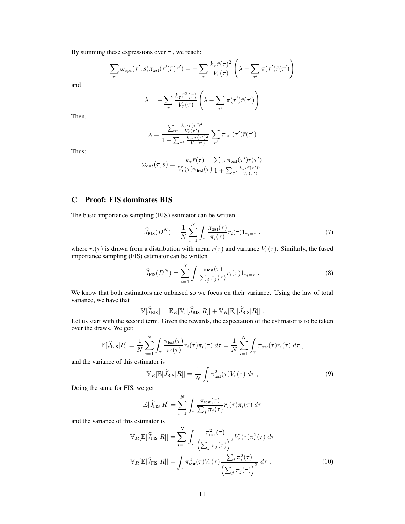By summing these expressions over  $\tau$ , we reach:

$$
\sum_{\tau'} \omega_{opt}(\tau', s) \pi_{\text{test}}(\tau') \bar{r}(\tau') = -\sum_{\tau} \frac{k_{\tau} \bar{r}(\tau)^2}{V_r(\tau)} \left( \lambda - \sum_{\tau'} \pi(\tau') \bar{r}(\tau') \right)
$$

and

$$
\lambda = -\sum_{\tau} \frac{k_{\tau} \bar{r}^{2}(\tau)}{V_{r}(\tau)} \left( \lambda - \sum_{\tau'} \pi(\tau') \bar{r}(\tau') \right)
$$

Then,

$$
\lambda = \frac{\sum_{\tau'} \frac{k_{\tau'} \bar{r}(\tau')^2}{V_r(\tau')}}{1 + \sum_{\tau'} \frac{k_{\tau'} \bar{r}(\tau')^2}{V_r(\tau')} \sum_{\tau'} \pi_{\text{test}}(\tau') \bar{r}(\tau')}
$$

Thus:

$$
\omega_{opt}(\tau,s) = \frac{k_{\tau}\bar{r}(\tau)}{V_r(\tau)\pi_{\text{test}}(\tau)} \frac{\sum_{\tau'} \pi_{\text{test}}(\tau')\bar{r}(\tau')}{1 + \sum_{\tau'} \frac{k_{\tau'}\bar{r}(\tau')^2}{V_r(\tau')}} \label{eq:opt}
$$

 $\Box$ 

# C Proof: FIS dominates BIS

The basic importance sampling (BIS) estimator can be written

$$
\widehat{J}_{\rm BIS}(D^N) = \frac{1}{N} \sum_{i=1}^N \int_{\tau} \frac{\pi_{\rm test}(\tau)}{\pi_i(\tau)} r_i(\tau) 1_{\tau_i = \tau} , \qquad (7)
$$

where  $r_i(\tau)$  is drawn from a distribution with mean  $\bar{r}(\tau)$  and variance  $V_r(\tau)$ . Similarly, the fused importance sampling (FIS) estimator can be written

$$
\widehat{J}_{\text{FIS}}(D^N) = \sum_{i=1}^N \int_{\tau} \frac{\pi_{\text{test}}(\tau)}{\sum_j \pi_j(\tau)} r_i(\tau) 1_{\tau_i = \tau} . \tag{8}
$$

We know that both estimators are unbiased so we focus on their variance. Using the law of total variance, we have that

$$
\mathbb{V}[\widehat{J}_{\text{BIS}}] = \mathbb{E}_R[\mathbb{V}_s[\widehat{J}_{\text{BIS}}|R]] + \mathbb{V}_R[\mathbb{E}_s[\widehat{J}_{\text{BIS}}|R]]].
$$

Let us start with the second term. Given the rewards, the expectation of the estimator is to be taken over the draws. We get:

$$
\mathbb{E}[\widehat{J}_{\rm BIS}|R] = \frac{1}{N} \sum_{i=1}^{N} \int_{\tau} \frac{\pi_{\rm test}(\tau)}{\pi_i(\tau)} r_i(\tau) \pi_i(\tau) d\tau = \frac{1}{N} \sum_{i=1}^{N} \int_{\tau} \pi_{\rm test}(\tau) r_i(\tau) d\tau,
$$

and the variance of this estimator is

$$
\mathbb{V}_R[\mathbb{E}[\widehat{J}_{\mathrm{BIS}}|R]] = \frac{1}{N} \int_{\tau} \pi_{\mathrm{test}}^2(\tau) V_r(\tau) \, d\tau \,, \tag{9}
$$

Doing the same for FIS, we get

$$
\mathbb{E}[\widehat{J}_{\text{FIS}}|R] = \sum_{i=1}^{N} \int_{\tau} \frac{\pi_{\text{test}}(\tau)}{\sum_{j} \pi_{j}(\tau)} r_{i}(\tau) \pi_{i}(\tau) d\tau
$$

and the variance of this estimator is

$$
\mathbb{V}_R[\mathbb{E}[\widehat{J}_{\text{FIS}}|R]] = \sum_{i=1}^N \int_{\tau} \frac{\pi_{\text{test}}^2(\tau)}{\left(\sum_j \pi_j(\tau)\right)^2} V_r(\tau) \pi_i^2(\tau) d\tau
$$

$$
\mathbb{V}_R[\mathbb{E}[\widehat{J}_{\text{FIS}}|R]] = \int_{\tau} \pi_{\text{test}}^2(\tau) V_r(\tau) \frac{\sum_i \pi_i^2(\tau)}{\left(\sum_j \pi_j(\tau)\right)^2} d\tau.
$$
(10)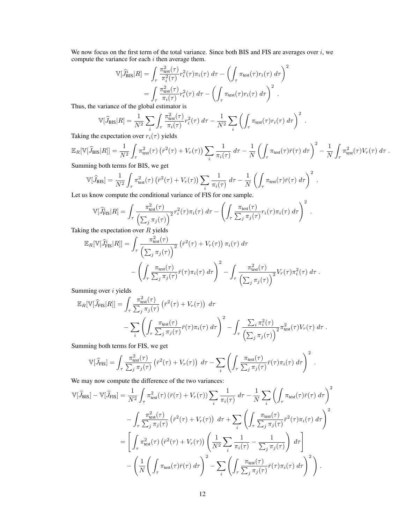We now focus on the first term of the total variance. Since both BIS and FIS are averages over  $i$ , we compute the variance for each  $i$  then average them.

$$
\mathbb{V}[\widehat{J}_{\text{BIS}}^{\tilde{i}}|R] = \int_{\tau} \frac{\pi_{\text{test}}^2(\tau)}{\pi_i^2(\tau)} r_i^2(\tau) \pi_i(\tau) d\tau - \left(\int_{\tau} \pi_{\text{test}}(\tau) r_i(\tau) d\tau\right)^2
$$

$$
= \int_{\tau} \frac{\pi_{\text{test}}^2(\tau)}{\pi_i(\tau)} r_i^2(\tau) d\tau - \left(\int_{\tau} \pi_{\text{test}}(\tau) r_i(\tau) d\tau\right)^2.
$$

Thus, the variance of the global estimator is

$$
\mathbb{V}[\widehat{J}_{\rm BIS}|R] = \frac{1}{N^2} \sum_{i} \int_{\tau} \frac{\pi_{\rm test}^2(\tau)}{\pi_i(\tau)} r_i^2(\tau) d\tau - \frac{1}{N^2} \sum_{i} \left( \int_{\tau} \pi_{\rm test}(\tau) r_i(\tau) d\tau \right)^2.
$$

Taking the expectation over  $r_i(\tau)$  yields

$$
\mathbb{E}_R[\mathbb{V}[\widehat{J}_{\text{BIS}}|R]] = \frac{1}{N^2} \int_{\tau} \pi_{\text{test}}^2(\tau) \left(\bar{r}^2(\tau) + V_r(\tau)\right) \sum_i \frac{1}{\pi_i(\tau)} d\tau - \frac{1}{N} \left(\int_{\tau} \pi_{\text{test}}(\tau) \bar{r}(\tau) d\tau\right)^2 - \frac{1}{N} \int_{\tau} \pi_{\text{test}}^2(\tau) V_r(\tau) d\tau.
$$
  
Summing both terms for BIS, we get

 $\overline{1}$ 2 2  $1, 1$ 

$$
\mathbb{V}[\widehat{J}_{\text{BIS}}] = \frac{1}{N^2} \int_{\tau} \pi_{\text{test}}^2(\tau) \left( \bar{r}^2(\tau) + V_r(\tau) \right) \sum_{i} \frac{1}{\pi_i(\tau)} d\tau - \frac{1}{N} \left( \int_{\tau} \pi_{\text{test}}(\tau) \bar{r}(\tau) d\tau \right)^2.
$$
  
Let us know compute the conditional variance of FIS for one sample.

$$
\mathbb{V}[\widehat{J}_{\text{FIS}}^i|R] = \int_{\tau} \frac{\pi_{\text{test}}^2(\tau)}{\left(\sum_j \pi_j(\tau)\right)^2} r_i^2(\tau)\pi_i(\tau) d\tau - \left(\int_{\tau} \frac{\pi_{\text{test}}(\tau)}{\sum_j \pi_j(\tau)} r_i(\tau)\pi_i(\tau) d\tau\right)^2.
$$

Taking the expectation over  $R$  yields

$$
\mathbb{E}_R[\mathbb{V}[\widehat{J}_{\text{FIS}}^i|R]] = \int_{\tau} \frac{\pi_{\text{test}}^2(\tau)}{\left(\sum_j \pi_j(\tau)\right)^2} \left(\bar{r}^2(\tau) + V_r(\tau)\right) \pi_i(\tau) d\tau - \left(\int_{\tau} \frac{\pi_{\text{test}}(\tau)}{\sum_j \pi_j(\tau)} \bar{r}(\tau) \pi_i(\tau) d\tau\right)^2 - \int_{\tau} \frac{\pi_{\text{test}}^2(\tau)}{\left(\sum_j \pi_j(\tau)\right)^2} V_r(\tau) \pi_i^2(\tau) d\tau.
$$

Summing over *i* yields

$$
\mathbb{E}_{R}[\mathbb{V}[\widehat{J}_{\text{FIS}}|R]] = \int_{\tau} \frac{\pi_{\text{test}}^{2}(\tau)}{\sum_{j} \pi_{j}(\tau)} \left(\bar{r}^{2}(\tau) + V_{r}(\tau)\right) d\tau - \sum_{i} \left(\int_{\tau} \frac{\pi_{\text{test}}(\tau)}{\sum_{j} \pi_{j}(\tau)} \bar{r}(\tau) \pi_{i}(\tau) d\tau\right)^{2} - \int_{\tau} \frac{\sum_{i} \pi_{i}^{2}(\tau)}{\left(\sum_{j} \pi_{j}(\tau)\right)^{2}} \pi_{\text{test}}^{2}(\tau) V_{r}(\tau) d\tau.
$$

Summing both terms for FIS, we get

$$
\mathbb{V}[\widehat{J}_{\text{FIS}}] = \int_{\tau} \frac{\pi_{\text{test}}^2(\tau)}{\sum_j \pi_j(\tau)} \left( \bar{r}^2(\tau) + V_r(\tau) \right) d\tau - \sum_i \left( \int_{\tau} \frac{\pi_{\text{test}}(\tau)}{\sum_j \pi_j(\tau)} \bar{r}(\tau) \pi_i(\tau) d\tau \right)^2.
$$

We may now compute the difference of the two variances:

$$
\mathbb{V}[\widehat{J}_{\text{BIS}}] - \mathbb{V}[\widehat{J}_{\text{FIS}}] = \frac{1}{N^2} \int_{\tau} \pi_{\text{test}}^2(\tau) \left( \bar{r}(\tau) + V_r(\tau) \right) \sum_{i} \frac{1}{\pi_i(\tau)} d\tau - \frac{1}{N} \sum_{i} \left( \int_{\tau} \pi_{\text{test}}(\tau) \bar{r}(\tau) d\tau \right)^2
$$

$$
- \int_{\tau} \frac{\pi_{\text{test}}^2(\tau)}{\sum_{j} \pi_j(\tau)} \left( \bar{r}^2(\tau) + V_r(\tau) \right) d\tau + \sum_{i} \left( \int_{\tau} \frac{\pi_{\text{test}}(\tau)}{\sum_{j} \pi_j(\tau)} \bar{r}^2(\tau) \pi_i(\tau) d\tau \right)^2
$$

$$
= \left[ \int_{\tau} \pi_{\text{test}}^2(\tau) \left( \bar{r}^2(\tau) + V_r(\tau) \right) \left( \frac{1}{N^2} \sum_{i} \frac{1}{\pi_i(\tau)} - \frac{1}{\sum_{j} \pi_j(\tau)} \right) d\tau \right]
$$

$$
- \left( \frac{1}{N} \left( \int_{\tau} \pi_{\text{test}}(\tau) \bar{r}(\tau) d\tau \right)^2 - \sum_{i} \left( \int_{\tau} \frac{\pi_{\text{test}}(\tau)}{\sum_{j} \pi_j(\tau)} \bar{r}(\tau) \pi_i(\tau) d\tau \right)^2 \right).
$$